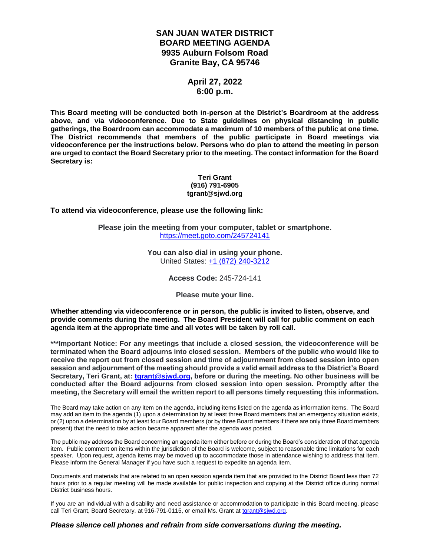# **SAN JUAN WATER DISTRICT BOARD MEETING AGENDA 9935 Auburn Folsom Road Granite Bay, CA 95746**

# **April 27, 2022 6:00 p.m.**

**This Board meeting will be conducted both in-person at the District's Boardroom at the address above, and via videoconference. Due to State guidelines on physical distancing in public gatherings, the Boardroom can accommodate a maximum of 10 members of the public at one time. The District recommends that members of the public participate in Board meetings via videoconference per the instructions below. Persons who do plan to attend the meeting in person are urged to contact the Board Secretary prior to the meeting. The contact information for the Board Secretary is:**

#### **Teri Grant (916) 791-6905 tgrant@sjwd.org**

**To attend via videoconference, please use the following link:**

**Please join the meeting from your computer, tablet or smartphone.** <https://meet.goto.com/245724141>

> **You can also dial in using your phone.** United States: [+1 \(872\) 240-3212](tel:+18722403212,,245724141)

> > **Access Code:** 245-724-141

**Please mute your line.**

**Whether attending via videoconference or in person, the public is invited to listen, observe, and provide comments during the meeting. The Board President will call for public comment on each agenda item at the appropriate time and all votes will be taken by roll call.** 

**\*\*\*Important Notice: For any meetings that include a closed session, the videoconference will be terminated when the Board adjourns into closed session. Members of the public who would like to receive the report out from closed session and time of adjournment from closed session into open session and adjournment of the meeting should provide a valid email address to the District's Board Secretary, Teri Grant, at: [tgrant@sjwd.org,](mailto:tgrant@sjwd.org) before or during the meeting. No other business will be conducted after the Board adjourns from closed session into open session. Promptly after the meeting, the Secretary will email the written report to all persons timely requesting this information.**

The Board may take action on any item on the agenda, including items listed on the agenda as information items. The Board may add an item to the agenda (1) upon a determination by at least three Board members that an emergency situation exists, or (2) upon a determination by at least four Board members (or by three Board members if there are only three Board members present) that the need to take action became apparent after the agenda was posted.

The public may address the Board concerning an agenda item either before or during the Board's consideration of that agenda item. Public comment on items within the jurisdiction of the Board is welcome, subject to reasonable time limitations for each speaker. Upon request, agenda items may be moved up to accommodate those in attendance wishing to address that item. Please inform the General Manager if you have such a request to expedite an agenda item.

Documents and materials that are related to an open session agenda item that are provided to the District Board less than 72 hours prior to a regular meeting will be made available for public inspection and copying at the District office during normal District business hours.

If you are an individual with a disability and need assistance or accommodation to participate in this Board meeting, please call Teri Grant, Board Secretary, at 916-791-0115, or email Ms. Grant at [tgrant@sjwd.org.](mailto:tgrant@sjwd.org)

#### *Please silence cell phones and refrain from side conversations during the meeting.*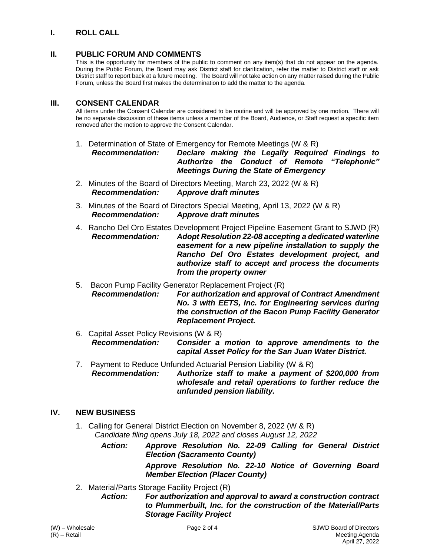# **I. ROLL CALL**

# **II. PUBLIC FORUM AND COMMENTS**

This is the opportunity for members of the public to comment on any item(s) that do not appear on the agenda. During the Public Forum, the Board may ask District staff for clarification, refer the matter to District staff or ask District staff to report back at a future meeting. The Board will not take action on any matter raised during the Public Forum, unless the Board first makes the determination to add the matter to the agenda.

### **III. CONSENT CALENDAR**

All items under the Consent Calendar are considered to be routine and will be approved by one motion. There will be no separate discussion of these items unless a member of the Board, Audience, or Staff request a specific item removed after the motion to approve the Consent Calendar.

1. Determination of State of Emergency for Remote Meetings (W & R)

*Recommendation: Declare making the Legally Required Findings to Authorize the Conduct of Remote "Telephonic" Meetings During the State of Emergency*

- 2. Minutes of the Board of Directors Meeting, March 23, 2022 (W & R) *Recommendation: Approve draft minutes*
- 3. Minutes of the Board of Directors Special Meeting, April 13, 2022 (W & R) *Recommendation: Approve draft minutes*
- 4. Rancho Del Oro Estates Development Project Pipeline Easement Grant to SJWD (R) *Recommendation: Adopt Resolution 22-08 accepting a dedicated waterline easement for a new pipeline installation to supply the Rancho Del Oro Estates development project, and authorize staff to accept and process the documents from the property owner*
- 5. Bacon Pump Facility Generator Replacement Project (R)

*Recommendation: For authorization and approval of Contract Amendment No. 3 with EETS, Inc. for Engineering services during the construction of the Bacon Pump Facility Generator Replacement Project.*

6. Capital Asset Policy Revisions (W & R) *Recommendation: Consider a motion to approve amendments to the capital Asset Policy for the San Juan Water District.*

7. Payment to Reduce Unfunded Actuarial Pension Liability (W & R) *Recommendation: Authorize staff to make a payment of \$200,000 from wholesale and retail operations to further reduce the unfunded pension liability.*

#### **IV. NEW BUSINESS**

1. Calling for General District Election on November 8, 2022 (W & R) *Candidate filing opens July 18, 2022 and closes August 12, 2022*

> *Action: Approve Resolution No. 22-09 Calling for General District Election (Sacramento County) Approve Resolution No. 22-10 Notice of Governing Board Member Election (Placer County)*

2. Material/Parts Storage Facility Project (R)

*Action: For authorization and approval to award a construction contract to Plummerbuilt, Inc. for the construction of the Material/Parts Storage Facility Project*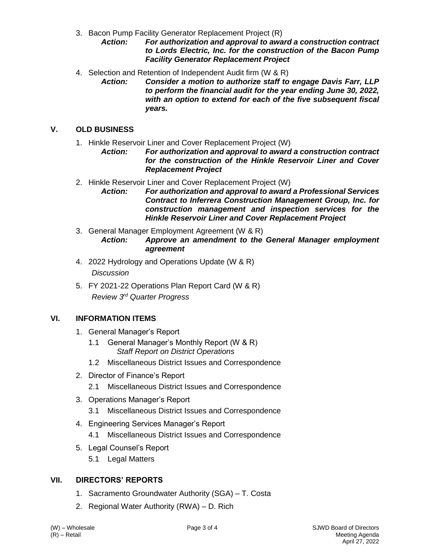3. Bacon Pump Facility Generator Replacement Project (R)

*Action: For authorization and approval to award a construction contract to Lords Electric, Inc. for the construction of the Bacon Pump Facility Generator Replacement Project*

- 4. Selection and Retention of Independent Audit firm (W & R)
	- *Action: Consider a motion to authorize staff to engage Davis Farr, LLP to perform the financial audit for the year ending June 30, 2022, with an option to extend for each of the five subsequent fiscal years.*

# **V. OLD BUSINESS**

- 1. Hinkle Reservoir Liner and Cover Replacement Project (W)
	- *Action: For authorization and approval to award a construction contract for the construction of the Hinkle Reservoir Liner and Cover Replacement Project*
- 2. Hinkle Reservoir Liner and Cover Replacement Project (W)
	- *Action: For authorization and approval to award a Professional Services Contract to Inferrera Construction Management Group, Inc. for construction management and inspection services for the Hinkle Reservoir Liner and Cover Replacement Project*
- 3. General Manager Employment Agreement (W & R) *Action: Approve an amendment to the General Manager employment agreement*
- 4. 2022 Hydrology and Operations Update (W & R) *Discussion*
- 5. FY 2021-22 Operations Plan Report Card (W & R) *Review 3 rd Quarter Progress*

# **VI. INFORMATION ITEMS**

- 1. General Manager's Report
	- 1.1 General Manager's Monthly Report (W & R) *Staff Report on District Operations*
	- 1.2 Miscellaneous District Issues and Correspondence
- 2. Director of Finance's Report
	- 2.1 Miscellaneous District Issues and Correspondence
- 3. Operations Manager's Report
	- 3.1 Miscellaneous District Issues and Correspondence
- 4. Engineering Services Manager's Report
	- 4.1 Miscellaneous District Issues and Correspondence
- 5. Legal Counsel's Report
	- 5.1 Legal Matters

# **VII. DIRECTORS' REPORTS**

- 1. Sacramento Groundwater Authority (SGA) T. Costa
- 2. Regional Water Authority (RWA) D. Rich